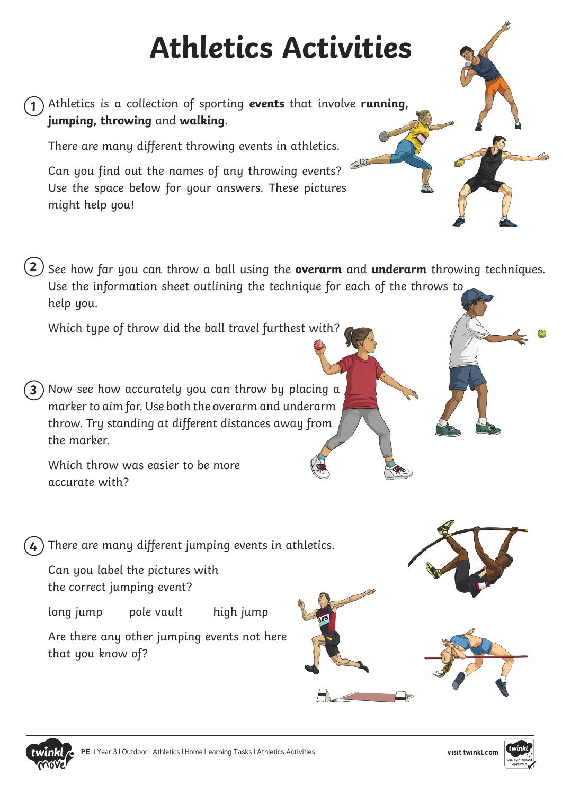## **Athletics Activities**

Athletics is a collection of sporting **events** that involve **running, 1 jumping, throwing** and **walking**.

There are many different throwing events in athletics.

Can you find out the names of any throwing events? Use the space below for your answers. These pictures might help you!

**2**) See how far you can throw a ball using the **overarm** and **underarm** throwing techniques. Use the information sheet outlining the technique for each of the throws to help you.

Which type of throw did the ball travel furthest with?

Now see how accurately you can throw by placing a marker to aim for. Use both the overarm and underarm throw. Try standing at different distances away from the marker **3**

Which throw was easier to be more accurate with?

There are many different jumping events in athletics. **4**

Can you label the pictures with the correct jumping event?

long jump pole vault high jump

Are there any other jumping events not here that you know of?